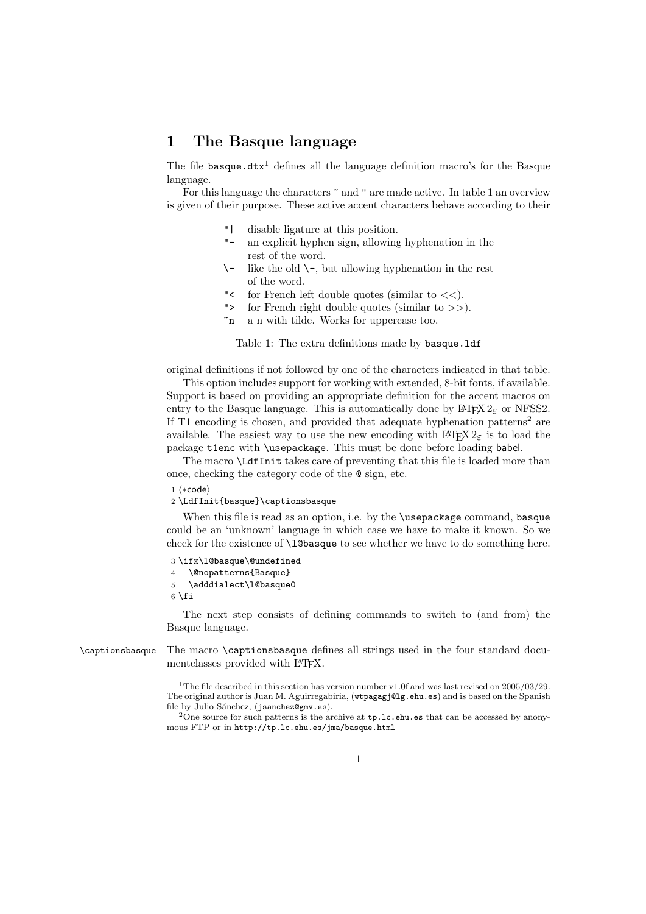## 1 The Basque language

The file basque.dtx<sup>1</sup> defines all the language definition macro's for the Basque language.

For this language the characters  $\tilde{ }$  and " are made active. In table 1 an overview is given of their purpose. These active accent characters behave according to their

- "| disable ligature at this position.
- an explicit hyphen sign, allowing hyphenation in the rest of the word.
- $\setminus$  like the old  $\setminus$ -, but allowing hyphenation in the rest of the word.
- " $\lt$  for French left double quotes (similar to  $\lt\lt$ ).
- "> for French right double quotes (similar to >>).
- ~n a n with tilde. Works for uppercase too.

Table 1: The extra definitions made by basque.ldf

original definitions if not followed by one of the characters indicated in that table.

This option includes support for working with extended, 8-bit fonts, if available. Support is based on providing an appropriate definition for the accent macros on entry to the Basque language. This is automatically done by  $\text{LATEX } 2\varepsilon$  or NFSS2. If T1 encoding is chosen, and provided that adequate hyphenation patterns<sup>2</sup> are available. The easiest way to use the new encoding with  $\angle$ ETEX  $2\epsilon$  is to load the package t1enc with \usepackage. This must be done before loading babel.

The macro \LdfInit takes care of preventing that this file is loaded more than once, checking the category code of the @ sign, etc.

1  $\langle *code \rangle$ 

## 2 \LdfInit{basque}\captionsbasque

When this file is read as an option, i.e. by the **\usepackage** command, **basque** could be an 'unknown' language in which case we have to make it known. So we check for the existence of **\l@basque** to see whether we have to do something here.

```
3 \ifx\l@basque\@undefined
4 \@nopatterns{Basque}
5 \adddialect\l@basque0
6 \fi
```
The next step consists of defining commands to switch to (and from) the Basque language.

\captionsbasque The macro \captionsbasque defines all strings used in the four standard documentclasses provided with LAT<sub>EX</sub>.

<sup>&</sup>lt;sup>1</sup>The file described in this section has version number v1.0f and was last revised on  $2005/03/29$ . The original author is Juan M. Aguirregabiria, (wtpagagj@lg.ehu.es) and is based on the Spanish file by Julio Sánchez, (jsanchez@gmv.es).

<sup>&</sup>lt;sup>2</sup>One source for such patterns is the archive at tp.lc.ehu.es that can be accessed by anonymous FTP or in http://tp.lc.ehu.es/jma/basque.html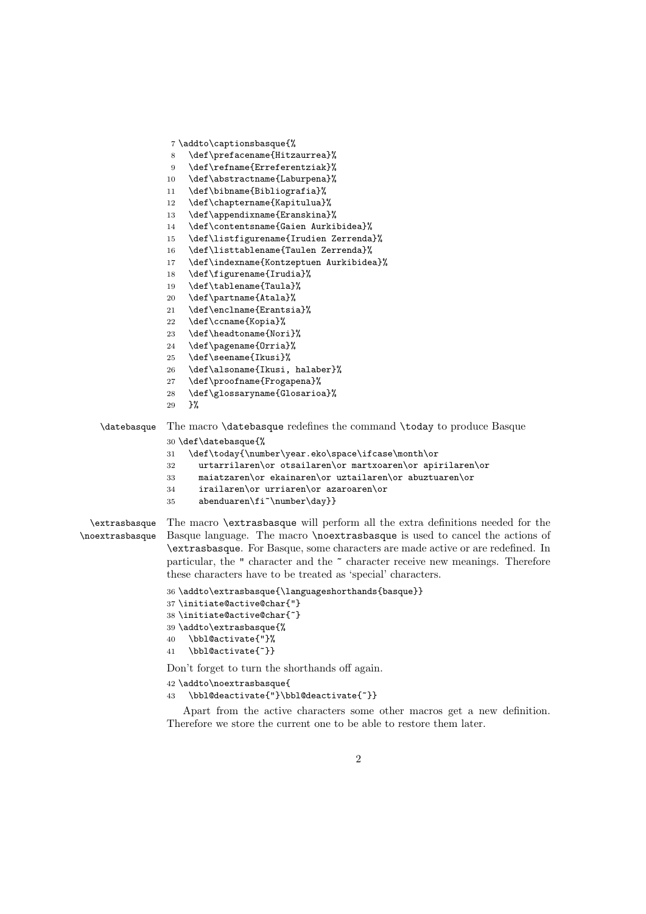```
7 \addto\captionsbasque{%
                 8 \def\prefacename{Hitzaurrea}%
                 9 \def\refname{Erreferentziak}%
                10 \def\abstractname{Laburpena}%
                11 \def\bibname{Bibliografia}%
                12 \def\chaptername{Kapitulua}%
                13 \def\appendixname{Eranskina}%
                14 \def\contentsname{Gaien Aurkibidea}%
                15 \def\listfigurename{Irudien Zerrenda}%
                16 \def\listtablename{Taulen Zerrenda}%
                17 \def\indexname{Kontzeptuen Aurkibidea}%
                18 \def\figurename{Irudia}%
                19 \def\tablename{Taula}%
                20 \def\partname{Atala}%
                21 \def\enclname{Erantsia}%
                22 \def\ccname{Kopia}%
                23 \def\headtoname{Nori}%
                24 \def\pagename{Orria}%
                25 \def\seename{Ikusi}%
                26 \def\alsoname{Ikusi, halaber}%
                27 \def\proofname{Frogapena}%
                28 \def\glossaryname{Glosarioa}%
                29 }%
   \datebasque The macro \datebasque redefines the command \today to produce Basque
                30 \def\datebasque{%
                31 \def\today{\number\year.eko\space\ifcase\month\or
                32 urtarrilaren\or otsailaren\or martxoaren\or apirilaren\or
                33 maiatzaren\or ekainaren\or uztailaren\or abuztuaren\or
                34 irailaren\or urriaren\or azaroaren\or
                35 abenduaren\fi~\number\day}}
  \extrasbasque
\noextrasbasque
                The macro \extrasbasque will perform all the extra definitions needed for the
                Basque language. The macro \noextrasbasque is used to cancel the actions of
                 \extrasbasque. For Basque, some characters are made active or are redefined. In
                particular, the " character and the " character receive new meanings. Therefore
                these characters have to be treated as 'special' characters.
                36 \addto\extrasbasque{\languageshorthands{basque}}
                37 \initiate@active@char{"}
                38 \initiate@active@char{~}
                39 \addto\extrasbasque{%
                40 \bbl@activate{"}%
                41 \bbl@activate{~}}
```
Don't forget to turn the shorthands off again.

```
42 \addto\noextrasbasque{
```

```
43 \bbl@deactivate{"}\bbl@deactivate{~}}
```
Apart from the active characters some other macros get a new definition. Therefore we store the current one to be able to restore them later.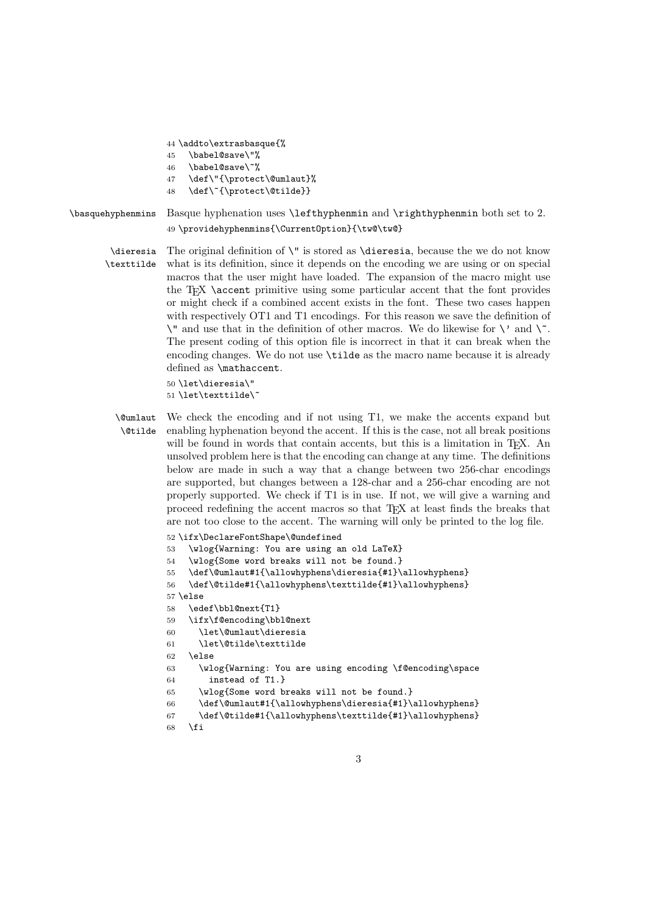44 \addto\extrasbasque{%

- 45 \babel@save\"%
- 46 \babel@save\~%
- 47 \def\"{\protect\@umlaut}%
- 48 \def\~{\protect\@tilde}}
- \basquehyphenmins Basque hyphenation uses \lefthyphenmin and \righthyphenmin both set to 2. 49 \providehyphenmins{\CurrentOption}{\tw@\tw@}
	- \dieresia The original definition of \" is stored as \dieresia, because the we do not know \texttilde what is its definition, since it depends on the encoding we are using or on special macros that the user might have loaded. The expansion of the macro might use the  $T_F X$  \accent primitive using some particular accent that the font provides or might check if a combined accent exists in the font. These two cases happen with respectively OT1 and T1 encodings. For this reason we save the definition of  $\Upsilon$  and use that in the definition of other macros. We do likewise for  $\Upsilon$  and  $\Upsilon$ . The present coding of this option file is incorrect in that it can break when the encoding changes. We do not use \tilde as the macro name because it is already defined as \mathaccent.

```
50 \let\dieresia\"
51\let\texttilde\
```
\@umlaut \@tilde We check the encoding and if not using T1, we make the accents expand but enabling hyphenation beyond the accent. If this is the case, not all break positions will be found in words that contain accents, but this is a limitation in T<sub>E</sub>X. An unsolved problem here is that the encoding can change at any time. The definitions below are made in such a way that a change between two 256-char encodings are supported, but changes between a 128-char and a 256-char encoding are not properly supported. We check if T1 is in use. If not, we will give a warning and proceed redefining the accent macros so that TEX at least finds the breaks that are not too close to the accent. The warning will only be printed to the log file.

```
52 \ifx\DeclareFontShape\@undefined
53 \wlog{Warning: You are using an old LaTeX}
54 \wlog{Some word breaks will not be found.}
55 \def\@umlaut#1{\allowhyphens\dieresia{#1}\allowhyphens}
56 \def\@tilde#1{\allowhyphens\texttilde{#1}\allowhyphens}
57 \else
58 \edef\bbl@next{T1}
59 \ifx\f@encoding\bbl@next
60 \let\@umlaut\dieresia
61 \let\@tilde\texttilde
62 \else
63 \wlog{Warning: You are using encoding \f@encoding\space
64 instead of T1.}
65 \wlog{Some word breaks will not be found.}
66 \def\@umlaut#1{\allowhyphens\dieresia{#1}\allowhyphens}
67 \def\@tilde#1{\allowhyphens\texttilde{#1}\allowhyphens}
68 \fi
```